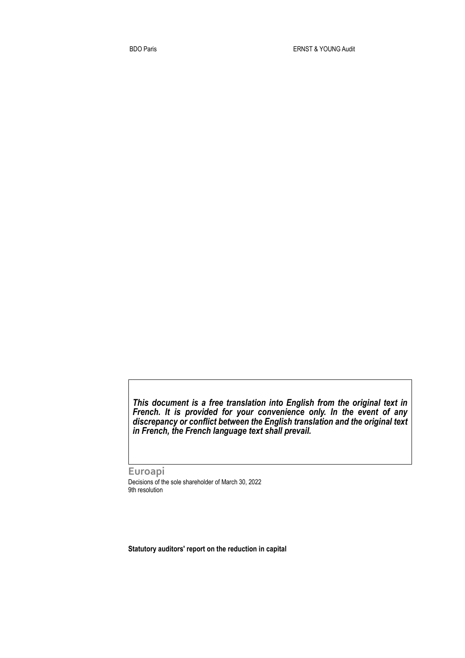*This document is a free translation into English from the original text in French. It is provided for your convenience only. In the event of any discrepancy or conflict between the English translation and the original text in French, the French language text shall prevail.* 

**Euroapi** Decisions of the sole shareholder of March 30, 2022 9th resolution

**Statutory auditors' report on the reduction in capital**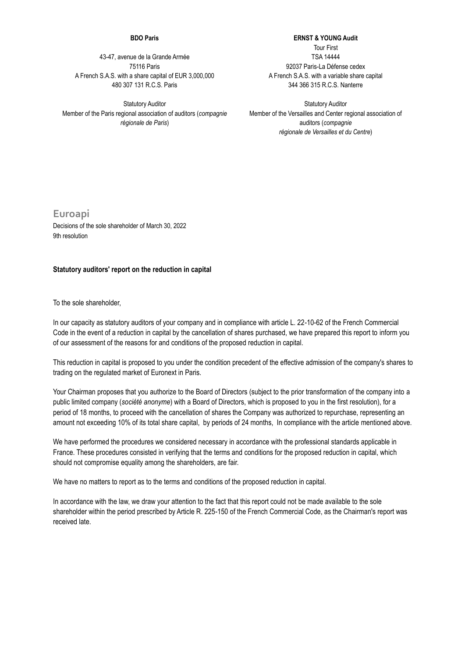## **BDO Paris**

43-47, avenue de la Grande Armée 75116 Paris A French S.A.S. with a share capital of EUR 3,000,000 480 307 131 R.C.S. Paris

Statutory Auditor Member of the Paris regional association of auditors (*compagnie régionale de Paris*)

**ERNST & YOUNG Audit** Tour First TSA 14444 92037 Paris-La Défense cedex A French S.A.S. with a variable share capital 344 366 315 R.C.S. Nanterre

Statutory Auditor Member of the Versailles and Center regional association of auditors (*compagnie régionale de Versailles et du Centre*)

**Euroapi** Decisions of the sole shareholder of March 30, 2022 9th resolution

## **Statutory auditors' report on the reduction in capital**

To the sole shareholder,

In our capacity as statutory auditors of your company and in compliance with article L. 22-10-62 of the French Commercial Code in the event of a reduction in capital by the cancellation of shares purchased, we have prepared this report to inform you of our assessment of the reasons for and conditions of the proposed reduction in capital.

This reduction in capital is proposed to you under the condition precedent of the effective admission of the company's shares to trading on the regulated market of Euronext in Paris.

Your Chairman proposes that you authorize to the Board of Directors (subject to the prior transformation of the company into a public limited company (*société anonyme*) with a Board of Directors, which is proposed to you in the first resolution), for a period of 18 months, to proceed with the cancellation of shares the Company was authorized to repurchase, representing an amount not exceeding 10% of its total share capital, by periods of 24 months, In compliance with the article mentioned above.

We have performed the procedures we considered necessary in accordance with the professional standards applicable in France. These procedures consisted in verifying that the terms and conditions for the proposed reduction in capital, which should not compromise equality among the shareholders, are fair.

We have no matters to report as to the terms and conditions of the proposed reduction in capital.

In accordance with the law, we draw your attention to the fact that this report could not be made available to the sole shareholder within the period prescribed by Article R. 225-150 of the French Commercial Code, as the Chairman's report was received late.